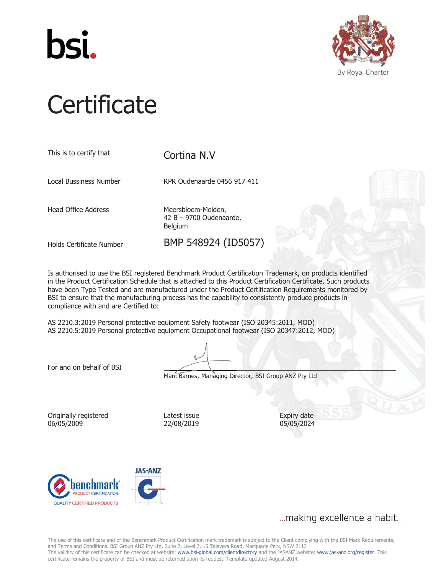



# **Certificate**

| This is to certify that    | Cortina N.V                                              |  |
|----------------------------|----------------------------------------------------------|--|
| Local Bussiness Number     | RPR Oudenaarde 0456 917 411                              |  |
| <b>Head Office Address</b> | Meersbloem-Melden,<br>42 B - 9700 Oudenaarde,<br>Belgium |  |
| Holds Certificate Number   | BMP 548924 (ID5057)                                      |  |

Is authorised to use the BSI registered Benchmark Product Certification Trademark, on products identified in the Product Certification Schedule that is attached to this Product Certification Certificate. Such products have been Type Tested and are manufactured under the Product Certification Requirements monitored by BSI to ensure that the manufacturing process has the capability to consistently produce products in compliance with and are Certified to:

AS 2210.3:2019 Personal protective equipment Safety footwear (ISO 20345:2011, MOD) AS 2210.5:2019 Personal protective equipment Occupational footwear (ISO 20347:2012, MOD)

For and on behalf of BSI

Marc Barnes, Managing Director, BSI Group ANZ Pty Ltd

Originally registered 06/05/2009

Latest issue 22/08/2019 Expiry date 05/05/2024



... making excellence a habit.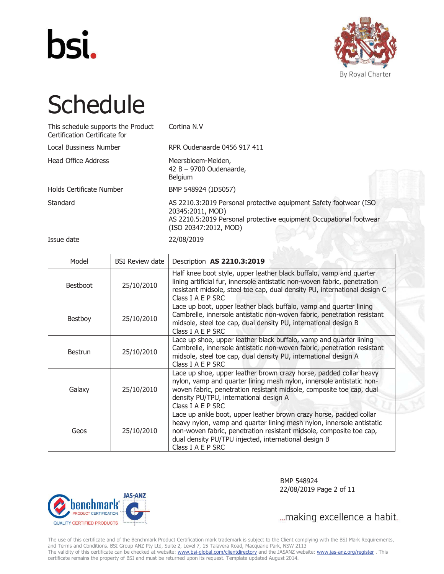



| This schedule supports the Product<br>Certification Certificate for | Cortina N.V                                                                                                                                                                          |
|---------------------------------------------------------------------|--------------------------------------------------------------------------------------------------------------------------------------------------------------------------------------|
| Local Bussiness Number                                              | RPR Oudenaarde 0456 917 411                                                                                                                                                          |
| <b>Head Office Address</b>                                          | Meersbloem-Melden,<br>$42 B - 9700$ Oudenaarde,<br><b>Belgium</b>                                                                                                                    |
| Holds Certificate Number                                            | BMP 548924 (ID5057)                                                                                                                                                                  |
| Standard                                                            | AS 2210.3:2019 Personal protective equipment Safety footwear (ISO<br>20345:2011, MOD)<br>AS 2210.5:2019 Personal protective equipment Occupational footwear<br>(ISO 20347:2012, MOD) |

Issue date 22/08/2019

| Model           | <b>BSI Review date</b> | Description AS 2210.3:2019                                                                                                                                                                                                                                                                      |
|-----------------|------------------------|-------------------------------------------------------------------------------------------------------------------------------------------------------------------------------------------------------------------------------------------------------------------------------------------------|
| <b>Bestboot</b> | 25/10/2010             | Half knee boot style, upper leather black buffalo, vamp and quarter<br>lining artificial fur, innersole antistatic non-woven fabric, penetration<br>resistant midsole, steel toe cap, dual density PU, international design C<br>Class I A E P SRC                                              |
| Bestboy         | 25/10/2010             | Lace up boot, upper leather black buffalo, vamp and quarter lining<br>Cambrelle, innersole antistatic non-woven fabric, penetration resistant<br>midsole, steel toe cap, dual density PU, international design B<br>Class I A E P SRC                                                           |
| <b>Bestrun</b>  | 25/10/2010             | Lace up shoe, upper leather black buffalo, vamp and quarter lining<br>Cambrelle, innersole antistatic non-woven fabric, penetration resistant<br>midsole, steel toe cap, dual density PU, international design A<br>Class I A E P SRC                                                           |
| Galaxy          | 25/10/2010             | Lace up shoe, upper leather brown crazy horse, padded collar heavy<br>nylon, vamp and quarter lining mesh nylon, innersole antistatic non-<br>woven fabric, penetration resistant midsole, composite toe cap, dual<br>density PU/TPU, international design A<br>Class I A E P SRC               |
| Geos            | 25/10/2010             | Lace up ankle boot, upper leather brown crazy horse, padded collar<br>heavy nylon, vamp and quarter lining mesh nylon, innersole antistatic<br>non-woven fabric, penetration resistant midsole, composite toe cap,<br>dual density PU/TPU injected, international design B<br>Class I A E P SRC |



 BMP 548924 22/08/2019 Page 2 of 11

... making excellence a habit.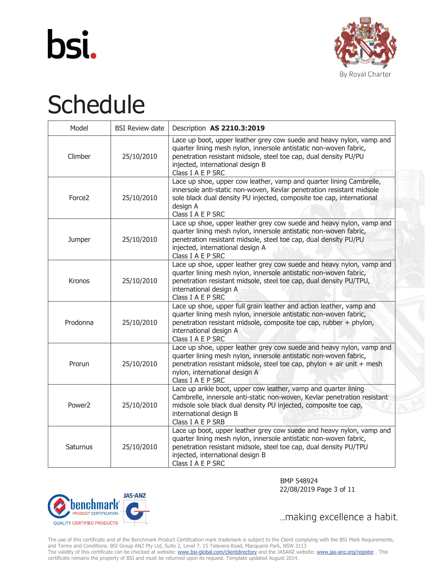



| Model              | <b>BSI Review date</b> | Description AS 2210.3:2019                                                                                                                                                                                                                                                |
|--------------------|------------------------|---------------------------------------------------------------------------------------------------------------------------------------------------------------------------------------------------------------------------------------------------------------------------|
| Climber            | 25/10/2010             | Lace up boot, upper leather grey cow suede and heavy nylon, vamp and<br>quarter lining mesh nylon, innersole antistatic non-woven fabric,<br>penetration resistant midsole, steel toe cap, dual density PU/PU<br>injected, international design B<br>Class I A E P SRC    |
| Force <sub>2</sub> | 25/10/2010             | Lace up shoe, upper cow leather, vamp and quarter lining Cambrelle,<br>innersole anti-static non-woven, Kevlar penetration resistant midsole<br>sole black dual density PU injected, composite toe cap, international<br>design A<br>Class I A E P SRC                    |
| Jumper             | 25/10/2010             | Lace up shoe, upper leather grey cow suede and heavy nylon, vamp and<br>quarter lining mesh nylon, innersole antistatic non-woven fabric,<br>penetration resistant midsole, steel toe cap, dual density PU/PU<br>injected, international design A<br>Class I A E P SRC    |
| Kronos             | 25/10/2010             | Lace up shoe, upper leather grey cow suede and heavy nylon, vamp and<br>quarter lining mesh nylon, innersole antistatic non-woven fabric,<br>penetration resistant midsole, steel toe cap, dual density PU/TPU,<br>international design A<br>Class I A E P SRC            |
| Prodonna           | 25/10/2010             | Lace up shoe, upper full grain leather and action leather, vamp and<br>quarter lining mesh nylon, innersole antistatic non-woven fabric,<br>penetration resistant midsole, composite toe cap, rubber + phylon,<br>international design A<br>Class I A E P SRC             |
| Prorun             | 25/10/2010             | Lace up shoe, upper leather grey cow suede and heavy nylon, vamp and<br>quarter lining mesh nylon, innersole antistatic non-woven fabric,<br>penetration resistant midsole, steel toe cap, phylon + air unit + mesh<br>nylon, international design A<br>Class I A E P SRC |
| Power <sub>2</sub> | 25/10/2010             | Lace up ankle boot, upper cow leather, vamp and quarter lining<br>Cambrelle, innersole anti-static non-woven, Kevlar penetration resistant<br>midsole sole black dual density PU injected, composite toe cap,<br>international design B<br>Class I A E P SRB              |
| Saturnus           | 25/10/2010             | Lace up boot, upper leather grey cow suede and heavy nylon, vamp and<br>quarter lining mesh nylon, innersole antistatic non-woven fabric,<br>penetration resistant midsole, steel toe cap, dual density PU/TPU<br>injected, international design B<br>Class I A E P SRC   |



 BMP 548924 22/08/2019 Page 3 of 11

... making excellence a habit.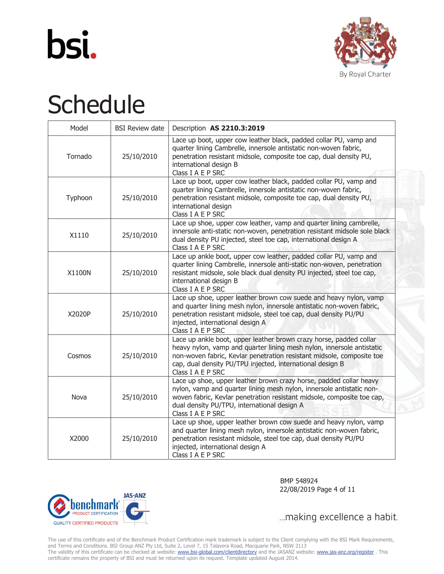



| Model   | <b>BSI Review date</b> | Description AS 2210.3:2019                                                                                                                                                                                                                                                                             |
|---------|------------------------|--------------------------------------------------------------------------------------------------------------------------------------------------------------------------------------------------------------------------------------------------------------------------------------------------------|
| Tornado | 25/10/2010             | Lace up boot, upper cow leather black, padded collar PU, vamp and<br>quarter lining Cambrelle, innersole antistatic non-woven fabric,<br>penetration resistant midsole, composite toe cap, dual density PU,<br>international design B<br>Class I A E P SRC                                             |
| Typhoon | 25/10/2010             | Lace up boot, upper cow leather black, padded collar PU, vamp and<br>quarter lining Cambrelle, innersole antistatic non-woven fabric,<br>penetration resistant midsole, composite toe cap, dual density PU,<br>international design<br>Class I A E P SRC                                               |
| X1110   | 25/10/2010             | Lace up shoe, upper cow leather, vamp and quarter lining cambrelle,<br>innersole anti-static non-woven, penetration resistant midsole sole black<br>dual density PU injected, steel toe cap, international design A<br>Class I A E P SRC                                                               |
| X1100N  | 25/10/2010             | Lace up ankle boot, upper cow leather, padded collar PU, vamp and<br>quarter lining Cambrelle, innersole anti-static non-woven, penetration<br>resistant midsole, sole black dual density PU injected, steel toe cap,<br>international design B<br>Class I A E P SRC                                   |
| X2020P  | 25/10/2010             | Lace up shoe, upper leather brown cow suede and heavy nylon, vamp<br>and quarter lining mesh nylon, innersole antistatic non-woven fabric,<br>penetration resistant midsole, steel toe cap, dual density PU/PU<br>injected, international design A<br>Class I A E P SRC                                |
| Cosmos  | 25/10/2010             | Lace up ankle boot, upper leather brown crazy horse, padded collar<br>heavy nylon, vamp and quarter lining mesh nylon, innersole antistatic<br>non-woven fabric, Kevlar penetration resistant midsole, composite toe<br>cap, dual density PU/TPU injected, international design B<br>Class I A E P SRC |
| Nova    | 25/10/2010             | Lace up shoe, upper leather brown crazy horse, padded collar heavy<br>nylon, vamp and quarter lining mesh nylon, innersole antistatic non-<br>woven fabric, Kevlar penetration resistant midsole, composite toe cap,<br>dual density PU/TPU, international design A<br>Class I A E P SRC               |
| X2000   | 25/10/2010             | Lace up shoe, upper leather brown cow suede and heavy nylon, vamp<br>and quarter lining mesh nylon, innersole antistatic non-woven fabric,<br>penetration resistant midsole, steel toe cap, dual density PU/PU<br>injected, international design A<br>Class I A E P SRC                                |



 BMP 548924 22/08/2019 Page 4 of 11

... making excellence a habit.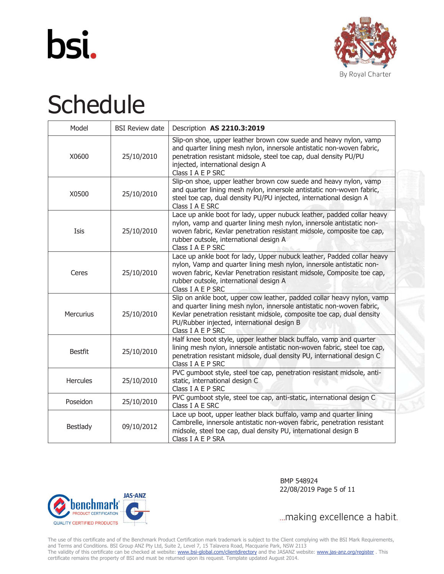



| Model            | <b>BSI Review date</b> | Description AS 2210.3:2019                                                                                                                                                                                                                                                                  |
|------------------|------------------------|---------------------------------------------------------------------------------------------------------------------------------------------------------------------------------------------------------------------------------------------------------------------------------------------|
| X0600            | 25/10/2010             | Slip-on shoe, upper leather brown cow suede and heavy nylon, vamp<br>and quarter lining mesh nylon, innersole antistatic non-woven fabric,<br>penetration resistant midsole, steel toe cap, dual density PU/PU<br>injected, international design A<br>Class I A E P SRC                     |
| X0500            | 25/10/2010             | Slip-on shoe, upper leather brown cow suede and heavy nylon, vamp<br>and quarter lining mesh nylon, innersole antistatic non-woven fabric,<br>steel toe cap, dual density PU/PU injected, international design A<br>Class I A E SRC                                                         |
| Isis             | 25/10/2010             | Lace up ankle boot for lady, upper nubuck leather, padded collar heavy<br>nylon, vamp and quarter lining mesh nylon, innersole antistatic non-<br>woven fabric, Kevlar penetration resistant midsole, composite toe cap,<br>rubber outsole, international design A<br>Class I A E P SRC     |
| Ceres            | 25/10/2010             | Lace up ankle boot for lady, Upper nubuck leather, Padded collar heavy<br>nylon, Vamp and quarter lining mesh nylon, innersole antistatic non-<br>woven fabric, Kevlar Penetration resistant midsole, Composite toe cap,<br>rubber outsole, international design A<br>Class I A E P SRC     |
| <b>Mercurius</b> | 25/10/2010             | Slip on ankle boot, upper cow leather, padded collar heavy nylon, vamp<br>and quarter lining mesh nylon, innersole antistatic non-woven fabric,<br>Kevlar penetration resistant midsole, composite toe cap, dual density<br>PU/Rubber injected, international design B<br>Class I A E P SRC |
| <b>Bestfit</b>   | 25/10/2010             | Half knee boot style, upper leather black buffalo, vamp and quarter<br>lining mesh nylon, innersole antistatic non-woven fabric, steel toe cap,<br>penetration resistant midsole, dual density PU, international design C<br>Class I A E P SRC                                              |
| <b>Hercules</b>  | 25/10/2010             | PVC gumboot style, steel toe cap, penetration resistant midsole, anti-<br>static, international design C<br>Class I A E P SRC                                                                                                                                                               |
| Poseidon         | 25/10/2010             | PVC gumboot style, steel toe cap, anti-static, international design C<br>Class I A E SRC                                                                                                                                                                                                    |
| <b>Bestlady</b>  | 09/10/2012             | Lace up boot, upper leather black buffalo, vamp and quarter lining<br>Cambrelle, innersole antistatic non-woven fabric, penetration resistant<br>midsole, steel toe cap, dual density PU, international design B<br>Class I A E P SRA                                                       |



 BMP 548924 22/08/2019 Page 5 of 11

... making excellence a habit.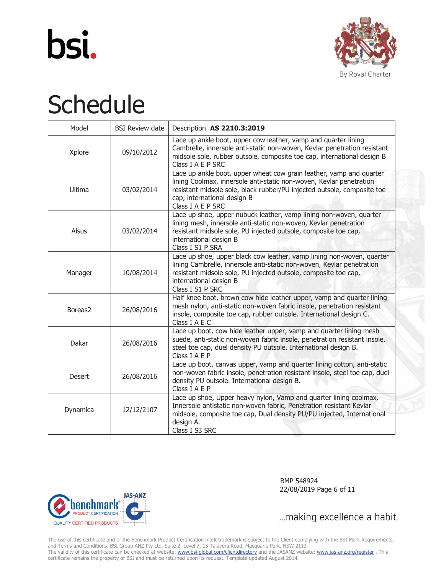



| Model               | <b>BSI Review date</b> | Description AS 2210.3:2019                                                                                                                                                                                                                                                |
|---------------------|------------------------|---------------------------------------------------------------------------------------------------------------------------------------------------------------------------------------------------------------------------------------------------------------------------|
| Xplore              | 09/10/2012             | Lace up ankle boot, upper cow leather, vamp and quarter lining<br>Cambrelle, innersole anti-static non-woven, Kevlar penetration resistant<br>midsole sole, rubber outsole, composite toe cap, international design B<br>Class I A E P SRC                                |
| Ultima              | 03/02/2014             | Lace up ankle boot, upper wheat cow grain leather, vamp and quarter<br>lining Coolmax, innersole anti-static non-woven, Kevlar penetration<br>resistant midsole sole, black rubber/PU injected outsole, composite toe<br>cap, international design B<br>Class I A E P SRC |
| Alsus               | 03/02/2014             | Lace up shoe, upper nubuck leather, vamp lining non-woven, quarter<br>lining mesh, innersole anti-static non-woven, Kevlar penetration<br>resistant midsole sole, PU injected outsole, composite toe cap,<br>international design B<br>Class I S1 P SRA                   |
| Manager             | 10/08/2014             | Lace up shoe, upper black cow leather, vamp lining non-woven, quarter<br>lining Cambrelle, innersole anti-static non-woven, Kevlar penetration<br>resistant midsole sole, PU injected outsole, composite toe cap,<br>international design B<br>Class I S1 P SRC           |
| Boreas <sub>2</sub> | 26/08/2016             | Half knee boot, brown cow hide leather upper, vamp and quarter lining<br>mesh nylon, anti-static non-woven fabric insole, penetration resistant<br>insole, composite toe cap, rubber outsole. International design C.<br>Class I A E C                                    |
| Dakar               | 26/08/2016             | Lace up boot, cow hide leather upper, vamp and quarter lining mesh<br>suede, anti-static non-woven fabric insole, penetration resistant insole,<br>steel toe cap, duel density PU outsole. International design B.<br>Class I A E P                                       |
| Desert              | 26/08/2016             | Lace up boot, canvas upper, vamp and quarter lining cotton, anti-static<br>non-woven fabric insole, penetration resistant insole, steel toe cap, duel<br>density PU outsole. International design B.<br>Class I A E P                                                     |
| Dynamica            | 12/12/2107             | Lace up shoe, Upper heavy nylon, Vamp and quarter lining coolmax,<br>Innersole antistatic non-woven fabric, Penetration resistant Kevlar<br>midsole, composite toe cap, Dual density PU/PU injected, International<br>design A.<br>Class I S3 SRC                         |



 BMP 548924 22/08/2019 Page 6 of 11

... making excellence a habit.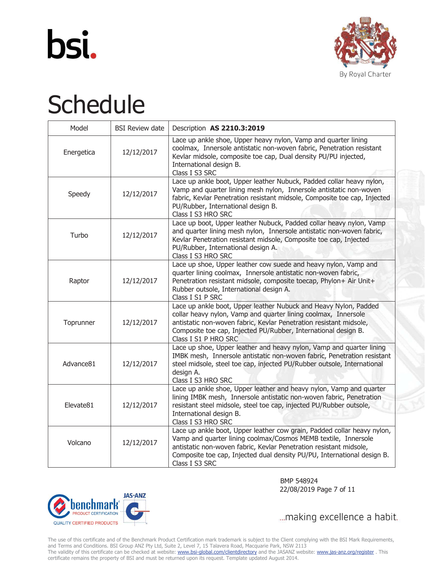



| Model      | <b>BSI Review date</b> | Description AS 2210.3:2019                                                                                                                                                                                                                                                                                   |
|------------|------------------------|--------------------------------------------------------------------------------------------------------------------------------------------------------------------------------------------------------------------------------------------------------------------------------------------------------------|
| Energetica | 12/12/2017             | Lace up ankle shoe, Upper heavy nylon, Vamp and quarter lining<br>coolmax, Innersole antistatic non-woven fabric, Penetration resistant<br>Kevlar midsole, composite toe cap, Dual density PU/PU injected,<br>International design B.<br>Class I S3 SRC                                                      |
| Speedy     | 12/12/2017             | Lace up ankle boot, Upper leather Nubuck, Padded collar heavy nylon,<br>Vamp and quarter lining mesh nylon, Innersole antistatic non-woven<br>fabric, Kevlar Penetration resistant midsole, Composite toe cap, Injected<br>PU/Rubber, International design B.<br>Class I S3 HRO SRC                          |
| Turbo      | 12/12/2017             | Lace up boot, Upper leather Nubuck, Padded collar heavy nylon, Vamp<br>and quarter lining mesh nylon, Innersole antistatic non-woven fabric,<br>Kevlar Penetration resistant midsole, Composite toe cap, Injected<br>PU/Rubber, International design A.<br>Class I S3 HRO SRC                                |
| Raptor     | 12/12/2017             | Lace up shoe, Upper leather cow suede and heavy nylon, Vamp and<br>quarter lining coolmax, Innersole antistatic non-woven fabric,<br>Penetration resistant midsole, composite toecap, Phylon+ Air Unit+<br>Rubber outsole, International design A.<br>Class I S1 P SRC                                       |
| Toprunner  | 12/12/2017             | Lace up ankle boot, Upper leather Nubuck and Heavy Nylon, Padded<br>collar heavy nylon, Vamp and quarter lining coolmax, Innersole<br>antistatic non-woven fabric, Kevlar Penetration resistant midsole,<br>Composite toe cap, Injected PU/Rubber, International design B.<br>Class I S1 P HRO SRC           |
| Advance81  | 12/12/2017             | Lace up shoe, Upper leather and heavy nylon, Vamp and quarter lining<br>IMBK mesh, Innersole antistatic non-woven fabric, Penetration resistant<br>steel midsole, steel toe cap, injected PU/Rubber outsole, International<br>design A.<br>Class I S3 HRO SRC                                                |
| Elevate81  | 12/12/2017             | Lace up ankle shoe, Upper leather and heavy nylon, Vamp and quarter<br>lining IMBK mesh, Innersole antistatic non-woven fabric, Penetration<br>resistant steel midsole, steel toe cap, injected PU/Rubber outsole,<br>International design B.<br>Class I S3 HRO SRC                                          |
| Volcano    | 12/12/2017             | Lace up ankle boot, Upper leather cow grain, Padded collar heavy nylon,<br>Vamp and quarter lining coolmax/Cosmos MEMB textile, Innersole<br>antistatic non-woven fabric, Kevlar Penetration resistant midsole,<br>Composite toe cap, Injected dual density PU/PU, International design B.<br>Class I S3 SRC |





... making excellence a habit.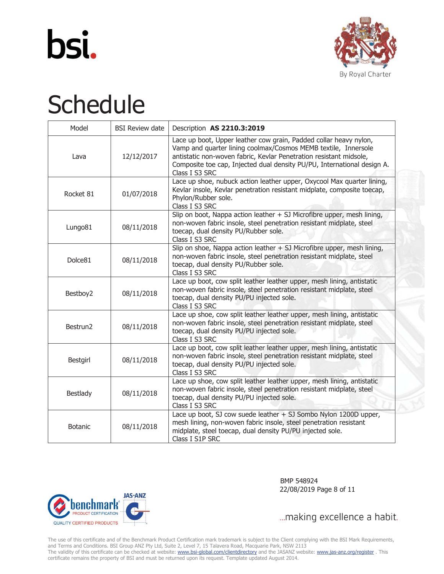



| Model               | <b>BSI Review date</b> | Description AS 2210.3:2019                                                                                                                                                                                                                                                                             |
|---------------------|------------------------|--------------------------------------------------------------------------------------------------------------------------------------------------------------------------------------------------------------------------------------------------------------------------------------------------------|
| Lava                | 12/12/2017             | Lace up boot, Upper leather cow grain, Padded collar heavy nylon,<br>Vamp and quarter lining coolmax/Cosmos MEMB textile, Innersole<br>antistatic non-woven fabric, Kevlar Penetration resistant midsole,<br>Composite toe cap, Injected dual density PU/PU, International design A.<br>Class I S3 SRC |
| Rocket 81           | 01/07/2018             | Lace up shoe, nubuck action leather upper, Oxycool Max quarter lining,<br>Kevlar insole, Kevlar penetration resistant midplate, composite toecap,<br>Phylon/Rubber sole.<br>Class I S3 SRC                                                                                                             |
| Lungo81             | 08/11/2018             | Slip on boot, Nappa action leather + SJ Microfibre upper, mesh lining,<br>non-woven fabric insole, steel penetration resistant midplate, steel<br>toecap, dual density PU/Rubber sole.<br>Class I S3 SRC                                                                                               |
| Dolce <sub>81</sub> | 08/11/2018             | Slip on shoe, Nappa action leather + SJ Microfibre upper, mesh lining,<br>non-woven fabric insole, steel penetration resistant midplate, steel<br>toecap, dual density PU/Rubber sole.<br>Class I S3 SRC                                                                                               |
| Bestboy2            | 08/11/2018             | Lace up boot, cow split leather leather upper, mesh lining, antistatic<br>non-woven fabric insole, steel penetration resistant midplate, steel<br>toecap, dual density PU/PU injected sole.<br>Class I S3 SRC                                                                                          |
| Bestrun2            | 08/11/2018             | Lace up shoe, cow split leather leather upper, mesh lining, antistatic<br>non-woven fabric insole, steel penetration resistant midplate, steel<br>toecap, dual density PU/PU injected sole.<br>Class I S3 SRC                                                                                          |
| Bestgirl            | 08/11/2018             | Lace up boot, cow split leather leather upper, mesh lining, antistatic<br>non-woven fabric insole, steel penetration resistant midplate, steel<br>toecap, dual density PU/PU injected sole.<br>Class I S3 SRC                                                                                          |
| <b>Bestlady</b>     | 08/11/2018             | Lace up shoe, cow split leather leather upper, mesh lining, antistatic<br>non-woven fabric insole, steel penetration resistant midplate, steel<br>toecap, dual density PU/PU injected sole.<br>Class I S3 SRC                                                                                          |
| <b>Botanic</b>      | 08/11/2018             | Lace up boot, SJ cow suede leather + SJ Sombo Nylon 1200D upper,<br>mesh lining, non-woven fabric insole, steel penetration resistant<br>midplate, steel toecap, dual density PU/PU injected sole.<br>Class I S1P SRC                                                                                  |



 BMP 548924 22/08/2019 Page 8 of 11

... making excellence a habit.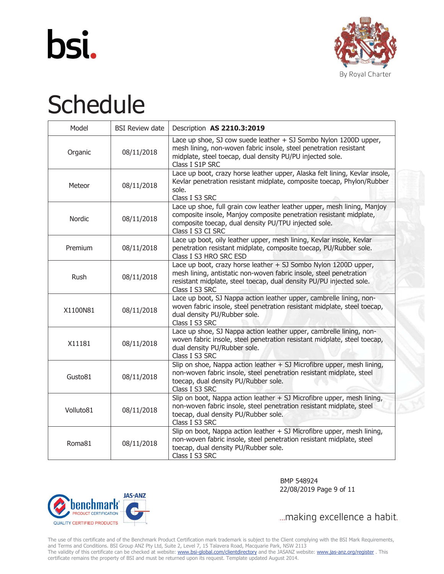



| Model     | <b>BSI Review date</b> | Description AS 2210.3:2019                                                                                                                                                                                                     |
|-----------|------------------------|--------------------------------------------------------------------------------------------------------------------------------------------------------------------------------------------------------------------------------|
| Organic   | 08/11/2018             | Lace up shoe, SJ cow suede leather + SJ Sombo Nylon 1200D upper,<br>mesh lining, non-woven fabric insole, steel penetration resistant<br>midplate, steel toecap, dual density PU/PU injected sole.<br>Class I S1P SRC          |
| Meteor    | 08/11/2018             | Lace up boot, crazy horse leather upper, Alaska felt lining, Kevlar insole,<br>Kevlar penetration resistant midplate, composite toecap, Phylon/Rubber<br>sole.<br>Class I S3 SRC                                               |
| Nordic    | 08/11/2018             | Lace up shoe, full grain cow leather leather upper, mesh lining, Manjoy<br>composite insole, Manjoy composite penetration resistant midplate,<br>composite toecap, dual density PU/TPU injected sole.<br>Class I S3 CI SRC     |
| Premium   | 08/11/2018             | Lace up boot, oily leather upper, mesh lining, Kevlar insole, Kevlar<br>penetration resistant midplate, composite toecap, PU/Rubber sole.<br>Class I S3 HRO SRC ESD                                                            |
| Rush      | 08/11/2018             | Lace up boot, crazy horse leather + SJ Sombo Nylon 1200D upper,<br>mesh lining, antistatic non-woven fabric insole, steel penetration<br>resistant midplate, steel toecap, dual density PU/PU injected sole.<br>Class I S3 SRC |
| X1100N81  | 08/11/2018             | Lace up boot, SJ Nappa action leather upper, cambrelle lining, non-<br>woven fabric insole, steel penetration resistant midplate, steel toecap,<br>dual density PU/Rubber sole.<br>Class I S3 SRC                              |
| X11181    | 08/11/2018             | Lace up shoe, SJ Nappa action leather upper, cambrelle lining, non-<br>woven fabric insole, steel penetration resistant midplate, steel toecap,<br>dual density PU/Rubber sole.<br>Class I S3 SRC                              |
| Gusto81   | 08/11/2018             | Slip on shoe, Nappa action leather + SJ Microfibre upper, mesh lining,<br>non-woven fabric insole, steel penetration resistant midplate, steel<br>toecap, dual density PU/Rubber sole.<br>Class I S3 SRC                       |
| Volluto81 | 08/11/2018             | Slip on boot, Nappa action leather + SJ Microfibre upper, mesh lining,<br>non-woven fabric insole, steel penetration resistant midplate, steel<br>toecap, dual density PU/Rubber sole.<br>Class I S3 SRC                       |
| Roma81    | 08/11/2018             | Slip on boot, Nappa action leather + SJ Microfibre upper, mesh lining,<br>non-woven fabric insole, steel penetration resistant midplate, steel<br>toecap, dual density PU/Rubber sole.<br>Class I S3 SRC                       |



 BMP 548924 22/08/2019 Page 9 of 11

... making excellence a habit.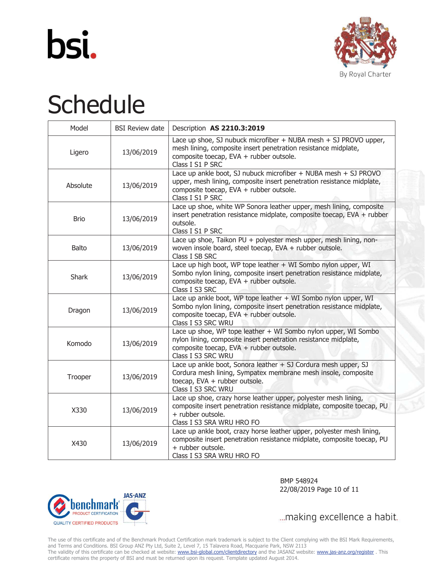



| Model        | <b>BSI Review date</b> | Description AS 2210.3:2019                                                                                                                                                                               |
|--------------|------------------------|----------------------------------------------------------------------------------------------------------------------------------------------------------------------------------------------------------|
| Ligero       | 13/06/2019             | Lace up shoe, SJ nubuck microfiber + NUBA mesh + SJ PROVO upper,<br>mesh lining, composite insert penetration resistance midplate,<br>composite toecap, EVA + rubber outsole.<br>Class I S1 P SRC        |
| Absolute     | 13/06/2019             | Lace up ankle boot, SJ nubuck microfiber + NUBA mesh + SJ PROVO<br>upper, mesh lining, composite insert penetration resistance midplate,<br>composite toecap, EVA + rubber outsole.<br>Class I S1 P SRC  |
| <b>Brio</b>  | 13/06/2019             | Lace up shoe, white WP Sonora leather upper, mesh lining, composite<br>insert penetration resistance midplate, composite toecap, EVA + rubber<br>outsole.<br>Class I S1 P SRC                            |
| <b>Balto</b> | 13/06/2019             | Lace up shoe, Taikon PU + polyester mesh upper, mesh lining, non-<br>woven insole board, steel toecap, EVA + rubber outsole.<br>Class I SB SRC                                                           |
| <b>Shark</b> | 13/06/2019             | Lace up high boot, WP tope leather + WI Sombo nylon upper, WI<br>Sombo nylon lining, composite insert penetration resistance midplate,<br>composite toecap, EVA + rubber outsole.<br>Class I S3 SRC      |
| Dragon       | 13/06/2019             | Lace up ankle boot, WP tope leather + WI Sombo nylon upper, WI<br>Sombo nylon lining, composite insert penetration resistance midplate,<br>composite toecap, EVA + rubber outsole.<br>Class I S3 SRC WRU |
| Komodo       | 13/06/2019             | Lace up shoe, WP tope leather + WI Sombo nylon upper, WI Sombo<br>nylon lining, composite insert penetration resistance midplate,<br>composite toecap, EVA + rubber outsole.<br>Class I S3 SRC WRU       |
| Trooper      | 13/06/2019             | Lace up ankle boot, Sonora leather + SJ Cordura mesh upper, SJ<br>Cordura mesh lining, Sympatex membrane mesh insole, composite<br>toecap, EVA + rubber outsole.<br>Class I S3 SRC WRU                   |
| X330         | 13/06/2019             | Lace up shoe, crazy horse leather upper, polyester mesh lining,<br>composite insert penetration resistance midplate, composite toecap, PU<br>+ rubber outsole.<br>Class I S3 SRA WRU HRO FO              |
| X430         | 13/06/2019             | Lace up ankle boot, crazy horse leather upper, polyester mesh lining,<br>composite insert penetration resistance midplate, composite toecap, PU<br>+ rubber outsole.<br>Class I S3 SRA WRU HRO FO        |



 BMP 548924 22/08/2019 Page 10 of 11

... making excellence a habit.